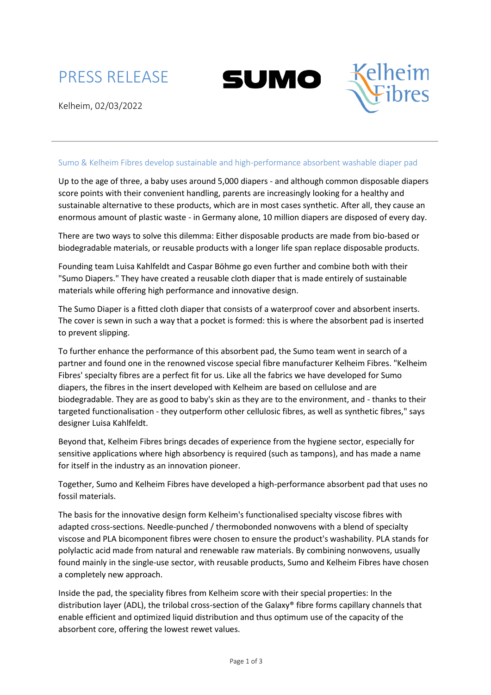





### Sumo & Kelheim Fibres develop sustainable and high-performance absorbent washable diaper pad

Up to the age of three, a baby uses around 5,000 diapers - and although common disposable diapers score points with their convenient handling, parents are increasingly looking for a healthy and sustainable alternative to these products, which are in most cases synthetic. After all, they cause an enormous amount of plastic waste - in Germany alone, 10 million diapers are disposed of every day.

There are two ways to solve this dilemma: Either disposable products are made from bio-based or biodegradable materials, or reusable products with a longer life span replace disposable products.

Founding team Luisa Kahlfeldt and Caspar Böhme go even further and combine both with their "Sumo Diapers." They have created a reusable cloth diaper that is made entirely of sustainable materials while offering high performance and innovative design.

The Sumo Diaper is a fitted cloth diaper that consists of a waterproof cover and absorbent inserts. The cover is sewn in such a way that a pocket is formed: this is where the absorbent pad is inserted to prevent slipping.

To further enhance the performance of this absorbent pad, the Sumo team went in search of a partner and found one in the renowned viscose special fibre manufacturer Kelheim Fibres. "Kelheim Fibres' specialty fibres are a perfect fit for us. Like all the fabrics we have developed for Sumo diapers, the fibres in the insert developed with Kelheim are based on cellulose and are biodegradable. They are as good to baby's skin as they are to the environment, and - thanks to their targeted functionalisation - they outperform other cellulosic fibres, as well as synthetic fibres," says designer Luisa Kahlfeldt.

Beyond that, Kelheim Fibres brings decades of experience from the hygiene sector, especially for sensitive applications where high absorbency is required (such as tampons), and has made a name for itself in the industry as an innovation pioneer.

Together, Sumo and Kelheim Fibres have developed a high-performance absorbent pad that uses no fossil materials.

The basis for the innovative design form Kelheim's functionalised specialty viscose fibres with adapted cross-sections. Needle-punched / thermobonded nonwovens with a blend of specialty viscose and PLA bicomponent fibres were chosen to ensure the product's washability. PLA stands for polylactic acid made from natural and renewable raw materials. By combining nonwovens, usually found mainly in the single-use sector, with reusable products, Sumo and Kelheim Fibres have chosen a completely new approach.

Inside the pad, the speciality fibres from Kelheim score with their special properties: In the distribution layer (ADL), the trilobal cross-section of the Galaxy® fibre forms capillary channels that enable efficient and optimized liquid distribution and thus optimum use of the capacity of the absorbent core, offering the lowest rewet values.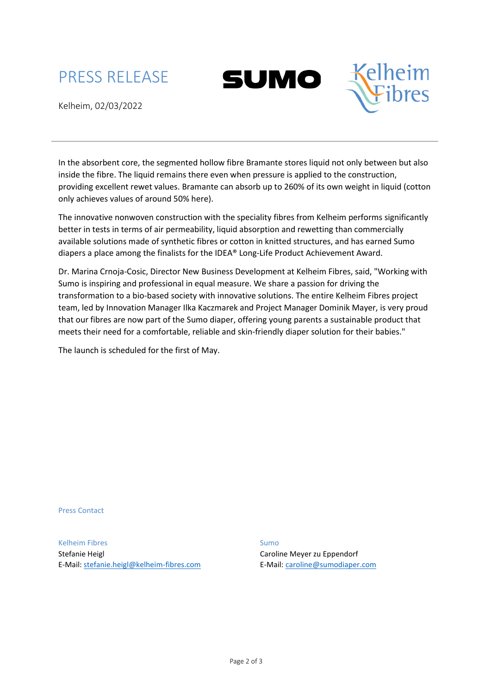# PRESS RELEASE





Kelheim, 02/03/2022

In the absorbent core, the segmented hollow fibre Bramante stores liquid not only between but also inside the fibre. The liquid remains there even when pressure is applied to the construction, providing excellent rewet values. Bramante can absorb up to 260% of its own weight in liquid (cotton only achieves values of around 50% here).

The innovative nonwoven construction with the speciality fibres from Kelheim performs significantly better in tests in terms of air permeability, liquid absorption and rewetting than commercially available solutions made of synthetic fibres or cotton in knitted structures, and has earned Sumo diapers a place among the finalists for the IDEA® Long-Life Product Achievement Award.

Dr. Marina Crnoja-Cosic, Director New Business Development at Kelheim Fibres, said, "Working with Sumo is inspiring and professional in equal measure. We share a passion for driving the transformation to a bio-based society with innovative solutions. The entire Kelheim Fibres project team, led by Innovation Manager Ilka Kaczmarek and Project Manager Dominik Mayer, is very proud that our fibres are now part of the Sumo diaper, offering young parents a sustainable product that meets their need for a comfortable, reliable and skin-friendly diaper solution for their babies."

The launch is scheduled for the first of May.

Press Contact

Kelheim Fibres Stefanie Heigl E-Mail[: stefanie.heigl@kelheim-fibres.com](mailto:stefanie.heigl@kelheim-fibres.com) Sumo Caroline Meyer zu Eppendorf E-Mail: [caroline@sumodiaper.com](mailto:caroline@sumodiaper.com)